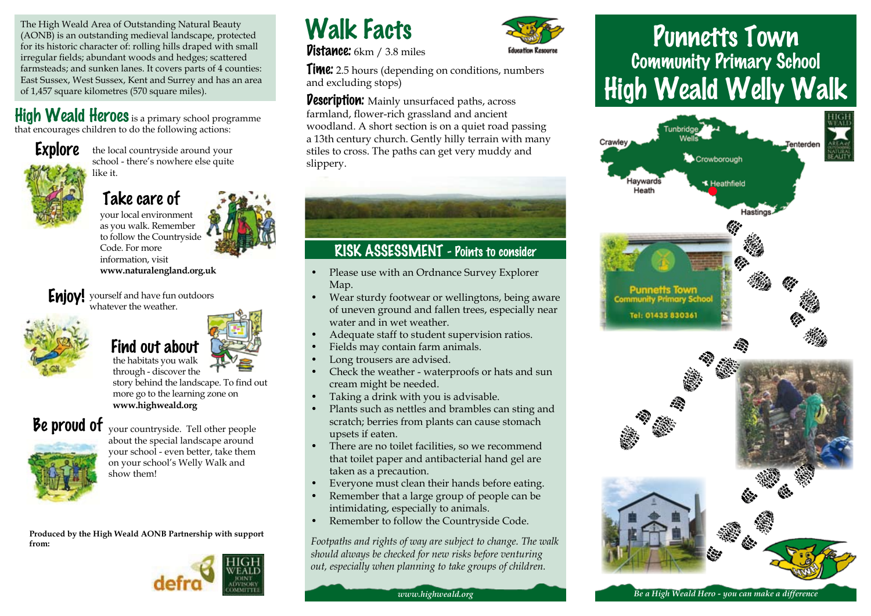The High Weald Area of Outstanding Natural Beauty (AONB) is an outstanding medieval landscape, protected for its historic character of: rolling hills draped with small irregular fields; abundant woods and hedges; scattered farmsteads; and sunken lanes. It covers parts of 4 counties: East Sussex, West Sussex, Kent and Surrey and has an area of 1,457 square kilometres (570 square miles).

#### High Weald Heroes is a primary school programme that encourages children to do the following actions:

**Explore** 

the local countryside around your school - there's nowhere else quite like it.

#### Take care of

your local environment as you walk. Remember to follow the Countryside Code. For more information, visit **www.naturalengland.org.uk**

**Enjoy!** yourself and have fun outdoors .<br>whatever the weather





through - discover the story behind the landscape. To find out more go to the learning zone on **www.highweald.org**

# Be proud of



your countryside. Tell other people about the special landscape around your school - even better, take them on your school's Welly Walk and show them!

**Produced by the High Weald AONB Partnership with support from:**



# Walk Facts

**Vistance:** 6km / 3.8 miles



**Time:** 2.5 hours (depending on conditions, numbers and excluding stops)

**Description:** Mainly unsurfaced paths, across farmland, flower-rich grassland and ancient woodland. A short section is on a quiet road passing a 13th century church. Gently hilly terrain with many stiles to cross. The paths can get very muddy and slippery.

# RISK ASSESSMENT - Points to consider

- Please use with an Ordnance Survey Explorer Map.
- Wear sturdy footwear or wellingtons, being aware of uneven ground and fallen trees, especially near water and in wet weather.
- Adequate staff to student supervision ratios.
- Fields may contain farm animals.
- Long trousers are advised.
- Check the weather waterproofs or hats and sun cream might be needed.
- Taking a drink with you is advisable.
- Plants such as nettles and brambles can sting and scratch; berries from plants can cause stomach upsets if eaten.
- There are no toilet facilities, so we recommend that toilet paper and antibacterial hand gel are taken as a precaution.
- Everyone must clean their hands before eating.
- Remember that a large group of people can be intimidating, especially to animals.
- Remember to follow the Countryside Code.

*Footpaths and rights of way are subject to change. The walk should always be checked for new risks before venturing out, especially when planning to take groups of children.*

# Punnetts Town Community Primary School High Weald Welly Walk



*Be a High Weald Hero - you can make a difference*

*www.highweald.org*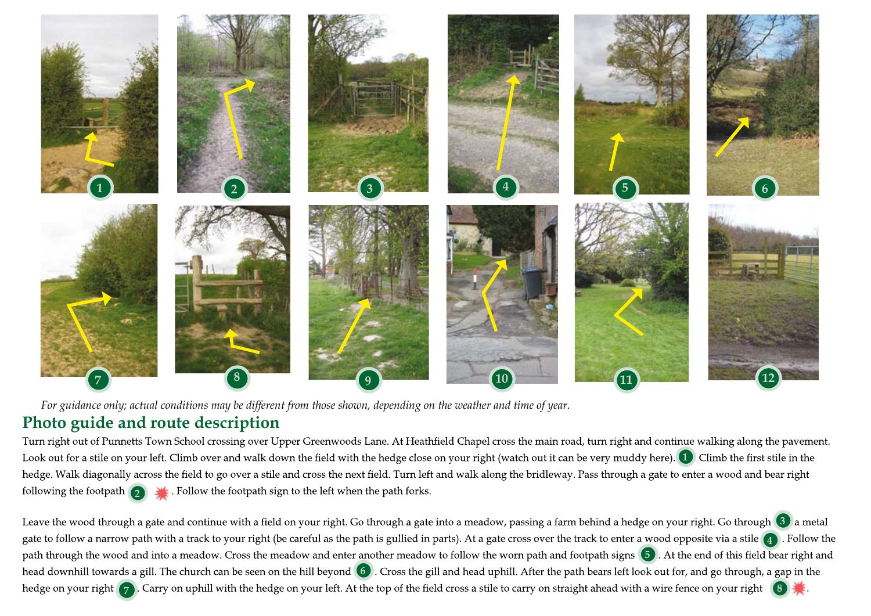

*For guidance only; actual conditions may be different from those shown, depending on the weather and time of year.*

# **Photo guide and route description**

Turn right out of Punnetts Town School crossing over Upper Greenwoods Lane. At Heathfield Chapel cross the main road, turn right and continue walking along the pavement. Look out for a stile on your left. Climb over and walk down the field with the hedge close on your right (watch out it can be very muddy here). Climb the first stile in the **1**  hedge. Walk diagonally across the field to go over a stile and cross the next field. Turn left and walk along the bridleway. Pass through a gate to enter a wood and bear right following the footpath . Follow the footpath sign to the left when the path forks. **2** 

Leave the wood through a gate and continue with a field on your right. Go through a gate into a meadow, passing a farm behind a hedge on your right. Go through (3) a metal gate to follow a narrow path with a track to your right (be careful as the path is gullied in parts). At a gate cross over the track to enter a wood opposite via a stile  $\begin{pmatrix} 4 \end{pmatrix}$ . Follow the path through the wood and into a meadow. Cross the meadow and enter another meadow to follow the worn path and footpath signs (5). At the end of this field bear right and head downhill towards a gill. The church can be seen on the hill beyond (6). Cross the gill and head uphill. After the path bears left look out for, and go through, a gap in the hedge on your right (7). Carry on uphill with the hedge on your left. At the top of the field cross a stile to carry on straight ahead with a wire fence on your right (8) **8**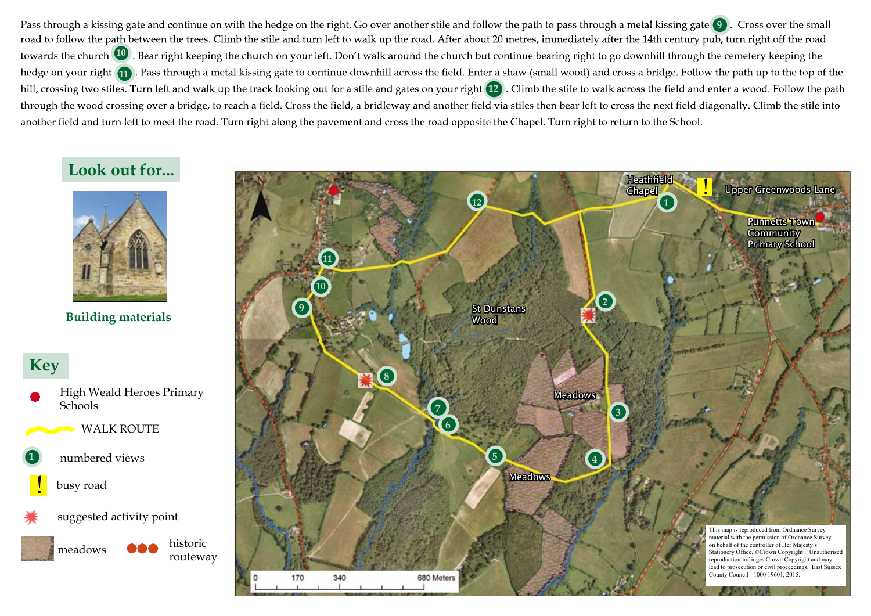Pass through a kissing gate and continue on with the hedge on the right. Go over another stile and follow the path to pass through a metal kissing gate **9** ). Cross over the small road to follow the path between the trees. Climb the stile and turn left to walk up the road. After about 20 metres, immediately after the 14th century pub, turn right off the road towards the church **10**. Bear right keeping the church on your left. Don't walk around the church but continue bearing right to go downhill through the cemetery keeping the hedge on your right (11). Pass through a metal kissing gate to continue downhill across the field. Enter a shaw (small wood) and cross a bridge. Follow the path up to the top of the hill, crossing two stiles. Turn left and walk up the track looking out for a stile and gates on your right (12) . Climb the stile to walk across the field and enter a wood. Follow the path through the wood crossing over a bridge, to reach a field. Cross the field, a bridleway and another field via stiles then bear left to cross the next field diagonally. Climb the stile into another field and turn left to meet the road. Turn right along the pavement and cross the road opposite the Chapel. Turn right to return to the School.

# **Look out for...**



**Building materials**